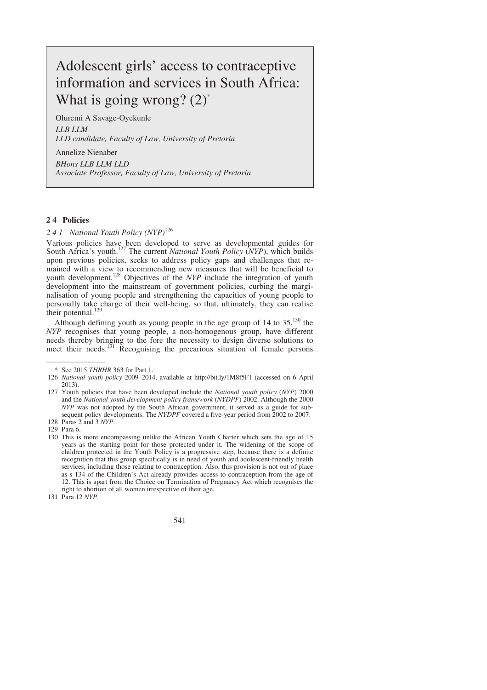# Adolescent girls' access to contraceptive information and services in South Africa: What is going wrong?  $(2)^*$

Oluremi A Savage-Oyekunle *LLB LLM LLD candidate, Faculty of Law, University of Pretoria* 

Annelize Nienaber *BHons LLB LLM LLD Associate Professor, Faculty of Law, University of Pretoria*

## **2 4 Policies**

# *2 4 1 National Youth Policy (NYP)*<sup>126</sup>

Various policies have been developed to serve as developmental guides for South Africa's youth.127 The current *National Youth Policy* (*NYP*), which builds upon previous policies, seeks to address policy gaps and challenges that remained with a view to recommending new measures that will be beneficial to youth development.<sup>128</sup> Objectives of the *NYP* include the integration of youth development into the mainstream of government policies, curbing the marginalisation of young people and strengthening the capacities of young people to personally take charge of their well-being, so that, ultimately, they can realise their potential.

Although defining youth as young people in the age group of  $14$  to  $35$ ,<sup>130</sup> the *NYP* recognises that young people, a non-homogenous group, have different needs thereby bringing to the fore the necessity to design diverse solutions to meet their needs.<sup>131</sup> Recognising the precarious situation of female persons

 127 Youth policies that have been developed include the *National youth policy* (*NYP*) 2000 and the *National youth development policy framework* (*NYDPF*) 2002. Although the 2000 *NYP* was not adopted by the South African government, it served as a guide for subsequent policy developments. The *NYDPF* covered a five-year period from 2002 to 2007. 128 Paras 2 and 3 *NYP*.

 $\overline{\phantom{a}}$  , where  $\overline{\phantom{a}}$ 

right to abortion of all women irrespective of their age. 131 Para 12 *NYP*.

541

 <sup>\*</sup> See 2015 *THRHR* 363 for Part 1.

 <sup>126</sup> *National youth policy* 2009–2014, available at http://bit.ly/1M8f5F1 (accessed on 6 April 2013).

 <sup>129</sup> Para 6. 130 This is more encompassing unlike the African Youth Charter which sets the age of 15 years as the starting point for those protected under it. The widening of the scope of children protected in the Youth Policy is a progressive step, because there is a definite recognition that this group specifically is in need of youth and adolescent-friendly health services, including those relating to contraception. Also, this provision is not out of place as s 134 of the Children's Act already provides access to contraception from the age of 12. This is apart from the Choice on Termination of Pregnancy Act which recognises the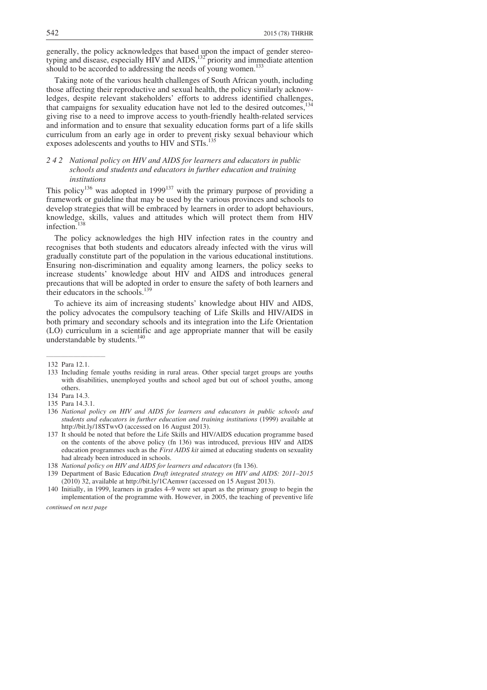generally, the policy acknowledges that based upon the impact of gender stereotyping and disease, especially HIV and AIDS,  $^{132}$  priority and immediate attention should to be accorded to addressing the needs of young women.<sup>133</sup>

Taking note of the various health challenges of South African youth, including those affecting their reproductive and sexual health, the policy similarly acknowledges, despite relevant stakeholders' efforts to address identified challenges, that campaigns for sexuality education have not led to the desired outcomes, giving rise to a need to improve access to youth-friendly health-related services and information and to ensure that sexuality education forms part of a life skills curriculum from an early age in order to prevent risky sexual behaviour which exposes adolescents and youths to HIV and STIs.<sup>13</sup>

# *2 4 2 National policy on HIV and AIDS for learners and educators in public schools and students and educators in further education and training institutions*

This policy<sup>136</sup> was adopted in 1999<sup>137</sup> with the primary purpose of providing a framework or guideline that may be used by the various provinces and schools to develop strategies that will be embraced by learners in order to adopt behaviours, knowledge, skills, values and attitudes which will protect them from HIV infection.

The policy acknowledges the high HIV infection rates in the country and recognises that both students and educators already infected with the virus will gradually constitute part of the population in the various educational institutions. Ensuring non-discrimination and equality among learners, the policy seeks to increase students' knowledge about HIV and AIDS and introduces general precautions that will be adopted in order to ensure the safety of both learners and their educators in the schools.<sup>139</sup>

To achieve its aim of increasing students' knowledge about HIV and AIDS, the policy advocates the compulsory teaching of Life Skills and HIV/AIDS in both primary and secondary schools and its integration into the Life Orientation (LO) curriculum in a scientific and age appropriate manner that will be easily understandable by students.<sup>140</sup>

 $\overline{\phantom{a}}$  , where  $\overline{\phantom{a}}$ 

 139 Department of Basic Education *Draft integrated strategy on HIV and AIDS: 2011–2015* (2010) 32, available at http://bit.ly/1CAemwr (accessed on 15 August 2013).

 <sup>132</sup> Para 12.1.

 <sup>133</sup> Including female youths residing in rural areas. Other special target groups are youths with disabilities, unemployed youths and school aged but out of school youths, among others.

 <sup>134</sup> Para 14.3.

 <sup>135</sup> Para 14.3.1.

 <sup>136</sup> *National policy on HIV and AIDS for learners and educators in public schools and students and educators in further education and training institutions* (1999) available at http://bit.ly/18STwvO (accessed on 16 August 2013).

 <sup>137</sup> It should be noted that before the Life Skills and HIV/AIDS education programme based on the contents of the above policy (fn 136) was introduced, previous HIV and AIDS education programmes such as the *First AIDS kit* aimed at educating students on sexuality had already been introduced in schools.

 <sup>138</sup> *National policy on HIV and AIDS for learners and educators* (fn 136).

 <sup>140</sup> Initially, in 1999, learners in grades 4–9 were set apart as the primary group to begin the implementation of the programme with. However, in 2005, the teaching of preventive life

*continued on next page*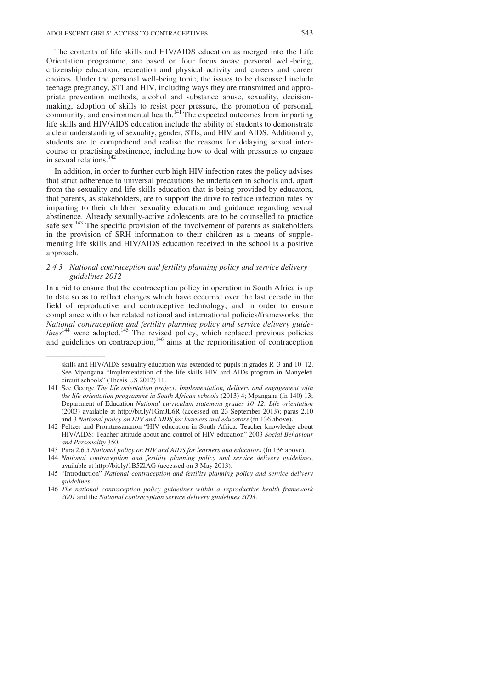The contents of life skills and HIV/AIDS education as merged into the Life Orientation programme, are based on four focus areas: personal well-being, citizenship education, recreation and physical activity and careers and career choices. Under the personal well-being topic, the issues to be discussed include teenage pregnancy, STI and HIV, including ways they are transmitted and appropriate prevention methods, alcohol and substance abuse, sexuality, decisionmaking, adoption of skills to resist peer pressure, the promotion of personal, community, and environmental health.<sup>141</sup> The expected outcomes from imparting life skills and HIV/AIDS education include the ability of students to demonstrate a clear understanding of sexuality, gender, STIs, and HIV and AIDS. Additionally, students are to comprehend and realise the reasons for delaying sexual intercourse or practising abstinence, including how to deal with pressures to engage in sexual relations.<sup>142</sup>

In addition, in order to further curb high HIV infection rates the policy advises that strict adherence to universal precautions be undertaken in schools and, apart from the sexuality and life skills education that is being provided by educators, that parents, as stakeholders, are to support the drive to reduce infection rates by imparting to their children sexuality education and guidance regarding sexual abstinence. Already sexually-active adolescents are to be counselled to practice safe sex.<sup>143</sup> The specific provision of the involvement of parents as stakeholders in the provision of SRH information to their children as a means of supplementing life skills and HIV/AIDS education received in the school is a positive approach.

# *2 4 3 National contraception and fertility planning policy and service delivery guidelines 2012*

In a bid to ensure that the contraception policy in operation in South Africa is up to date so as to reflect changes which have occurred over the last decade in the field of reproductive and contraceptive technology, and in order to ensure compliance with other related national and international policies/frameworks, the *National contraception and fertility planning policy and service delivery guide* $lines<sup>144</sup>$  were adopted.<sup>145</sup> The revised policy, which replaced previous policies and guidelines on contraception, $146$  aims at the reprioritisation of contraception

 $\overline{\phantom{a}}$  , where  $\overline{\phantom{a}}$ 

skills and HIV/AIDS sexuality education was extended to pupils in grades R–3 and 10–12. See Mpangana "Implementation of the life skills HIV and AIDs program in Manyeleti circuit schools" (Thesis US 2012) 11.

 <sup>141</sup> See George *The life orientation project: Implementation, delivery and engagement with the life orientation programme in South African schools* (2013) 4; Mpangana (fn 140) 13; Department of Education *National curriculum statement grades 10–12: Life orientation* (2003) available at http://bit.ly/1GmJL6R (accessed on 23 September 2013); paras 2.10 and 3 *National policy on HIV and AIDS for learners and educators* (fn 136 above).

 <sup>142</sup> Peltzer and Promtussananon "HIV education in South Africa: Teacher knowledge about HIV/AIDS: Teacher attitude about and control of HIV education" 2003 *Social Behaviour and Personality* 350.

 <sup>143</sup> Para 2.6.5 *National policy on HIV and AIDS for learners and educators* (fn 136 above).

 <sup>144</sup> *National contraception and fertility planning policy and service delivery guidelines*, available at http://bit.ly/1B5ZlAG (accessed on 3 May 2013).

 <sup>145 &</sup>quot;Introduction" *National contraception and fertility planning policy and service delivery guidelines*.

 <sup>146</sup> *The national contraception policy guidelines within a reproductive health framework 2001* and the *National contraception service delivery guidelines 2003*.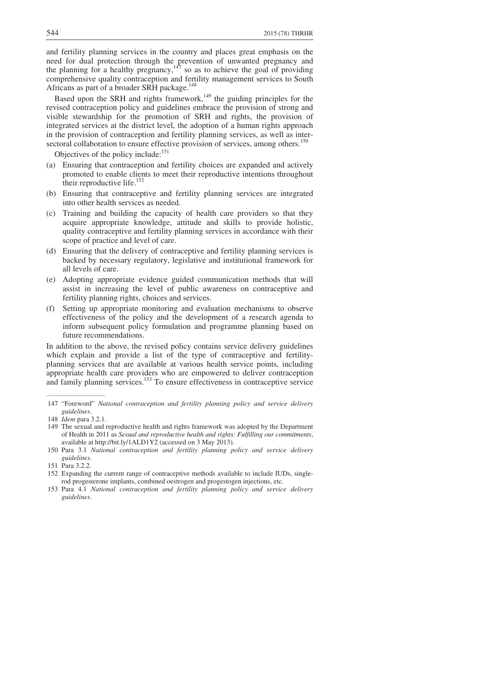and fertility planning services in the country and places great emphasis on the need for dual protection through the prevention of unwanted pregnancy and the planning for a healthy pregnancy,  $147$  so as to achieve the goal of providing comprehensive quality contraception and fertility management services to South Africans as part of a broader SRH package.<sup>1</sup>

Based upon the SRH and rights framework,<sup>149</sup> the guiding principles for the revised contraception policy and guidelines embrace the provision of strong and visible stewardship for the promotion of SRH and rights, the provision of integrated services at the district level, the adoption of a human rights approach in the provision of contraception and fertility planning services, as well as intersectoral collaboration to ensure effective provision of services, among others.<sup>150</sup>

Objectives of the policy include: $151$ 

- (a) Ensuring that contraception and fertility choices are expanded and actively promoted to enable clients to meet their reproductive intentions throughout their reproductive life.<sup>152</sup>
- (b) Ensuring that contraceptive and fertility planning services are integrated into other health services as needed.
- (c) Training and building the capacity of health care providers so that they acquire appropriate knowledge, attitude and skills to provide holistic, quality contraceptive and fertility planning services in accordance with their scope of practice and level of care.
- (d) Ensuring that the delivery of contraceptive and fertility planning services is backed by necessary regulatory, legislative and institutional framework for all levels of care.
- (e) Adopting appropriate evidence guided communication methods that will assist in increasing the level of public awareness on contraceptive and fertility planning rights, choices and services.
- (f) Setting up appropriate monitoring and evaluation mechanisms to observe effectiveness of the policy and the development of a research agenda to inform subsequent policy formulation and programme planning based on future recommendations.

In addition to the above, the revised policy contains service delivery guidelines which explain and provide a list of the type of contraceptive and fertilityplanning services that are available at various health service points, including appropriate health care providers who are empowered to deliver contraception and family planning services.<sup>153</sup> To ensure effectiveness in contraceptive service

\_\_\_\_\_\_\_\_\_\_\_\_\_\_\_\_\_\_\_\_\_\_\_\_

 <sup>147 &</sup>quot;Foreword" *National contraception and fertility planning policy and service delivery guidelines*.

 <sup>148</sup> *Idem* para 3.2.1.

 <sup>149</sup> The sexual and reproductive health and rights framework was adopted by the Department of Health in 2011 as *Sexual and reproductive health and rights: Fulfilling our commitments*, available at http://bit.ly/1ALD1Y2 (accessed on 3 May 2013).

 <sup>150</sup> Para 3.1 *National contraception and fertility planning policy and service delivery guidelines*.

 <sup>151</sup> Para 3.2.2.

 <sup>152</sup> Expanding the current range of contraceptive methods available to include IUDs, singlerod progesterone implants, combined oestrogen and progestogen injections, etc.

 <sup>153</sup> Para 4.1 *National contraception and fertility planning policy and service delivery guidelines*.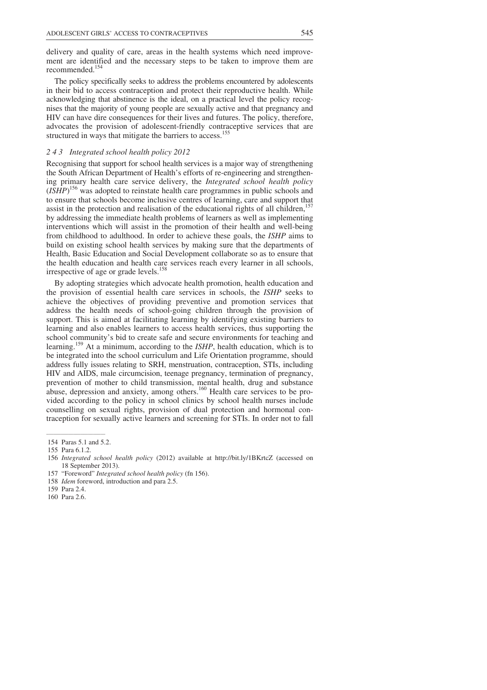delivery and quality of care, areas in the health systems which need improvement are identified and the necessary steps to be taken to improve them are recommended.154

The policy specifically seeks to address the problems encountered by adolescents in their bid to access contraception and protect their reproductive health. While acknowledging that abstinence is the ideal, on a practical level the policy recognises that the majority of young people are sexually active and that pregnancy and HIV can have dire consequences for their lives and futures. The policy, therefore, advocates the provision of adolescent-friendly contraceptive services that are structured in ways that mitigate the barriers to access.<sup>155</sup>

## *2 4 3 Integrated school health policy 2012*

Recognising that support for school health services is a major way of strengthening the South African Department of Health's efforts of re-engineering and strengthening primary health care service delivery, the *Integrated school health policy* (*ISHP*) 156 was adopted to reinstate health care programmes in public schools and to ensure that schools become inclusive centres of learning, care and support that assist in the protection and realisation of the educational rights of all children, $\frac{1}{2}$ by addressing the immediate health problems of learners as well as implementing interventions which will assist in the promotion of their health and well-being from childhood to adulthood. In order to achieve these goals, the *ISHP* aims to build on existing school health services by making sure that the departments of Health, Basic Education and Social Development collaborate so as to ensure that the health education and health care services reach every learner in all schools, irrespective of age or grade levels.158

By adopting strategies which advocate health promotion, health education and the provision of essential health care services in schools, the *ISHP* seeks to achieve the objectives of providing preventive and promotion services that address the health needs of school-going children through the provision of support. This is aimed at facilitating learning by identifying existing barriers to learning and also enables learners to access health services, thus supporting the school community's bid to create safe and secure environments for teaching and learning.159 At a minimum, according to the *ISHP*, health education, which is to be integrated into the school curriculum and Life Orientation programme, should address fully issues relating to SRH, menstruation, contraception, STIs, including HIV and AIDS, male circumcision, teenage pregnancy, termination of pregnancy, prevention of mother to child transmission, mental health, drug and substance abuse, depression and anxiety, among others.<sup>160</sup> Health care services to be provided according to the policy in school clinics by school health nurses include counselling on sexual rights, provision of dual protection and hormonal contraception for sexually active learners and screening for STIs. In order not to fall

 $\overline{\phantom{a}}$  , where  $\overline{\phantom{a}}$ 154 Paras 5.1 and 5.2.

 <sup>155</sup> Para 6.1.2.

 <sup>156</sup> *Integrated school health policy* (2012) available at http://bit.ly/1BKrtcZ (accessed on 18 September 2013).

 <sup>157 &</sup>quot;Foreword" *Integrated school health policy* (fn 156).

 <sup>158</sup> *Idem* foreword, introduction and para 2.5.

 <sup>159</sup> Para 2.4.

 <sup>160</sup> Para 2.6.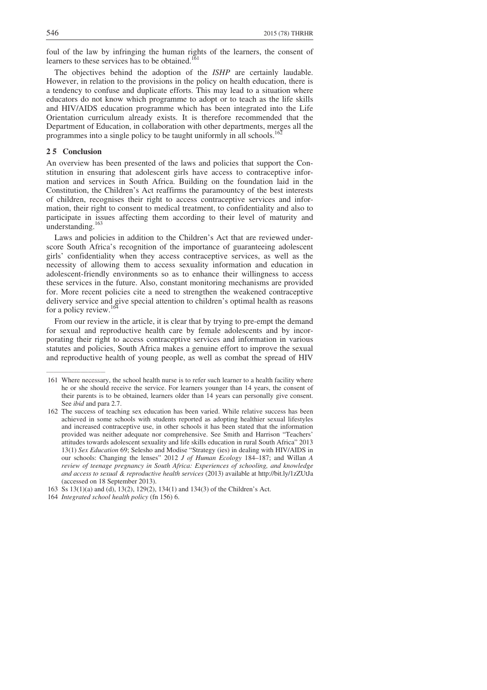foul of the law by infringing the human rights of the learners, the consent of learners to these services has to be obtained.<sup>1</sup>

The objectives behind the adoption of the *ISHP* are certainly laudable. However, in relation to the provisions in the policy on health education, there is a tendency to confuse and duplicate efforts. This may lead to a situation where educators do not know which programme to adopt or to teach as the life skills and HIV/AIDS education programme which has been integrated into the Life Orientation curriculum already exists. It is therefore recommended that the Department of Education, in collaboration with other departments, merges all the programmes into a single policy to be taught uniformly in all schools.<sup>16</sup>

## **2 5 Conclusion**

\_\_\_\_\_\_\_\_\_\_\_\_\_\_\_\_\_\_\_\_\_\_\_\_

An overview has been presented of the laws and policies that support the Constitution in ensuring that adolescent girls have access to contraceptive information and services in South Africa. Building on the foundation laid in the Constitution, the Children's Act reaffirms the paramountcy of the best interests of children, recognises their right to access contraceptive services and information, their right to consent to medical treatment, to confidentiality and also to participate in issues affecting them according to their level of maturity and understanding.<sup>163</sup>

Laws and policies in addition to the Children's Act that are reviewed underscore South Africa's recognition of the importance of guaranteeing adolescent girls' confidentiality when they access contraceptive services, as well as the necessity of allowing them to access sexuality information and education in adolescent-friendly environments so as to enhance their willingness to access these services in the future. Also, constant monitoring mechanisms are provided for. More recent policies cite a need to strengthen the weakened contraceptive delivery service and give special attention to children's optimal health as reasons for a policy review.<sup>16</sup>

From our review in the article, it is clear that by trying to pre-empt the demand for sexual and reproductive health care by female adolescents and by incorporating their right to access contraceptive services and information in various statutes and policies, South Africa makes a genuine effort to improve the sexual and reproductive health of young people, as well as combat the spread of HIV

 <sup>161</sup> Where necessary, the school health nurse is to refer such learner to a health facility where he or she should receive the service. For learners younger than 14 years, the consent of their parents is to be obtained, learners older than 14 years can personally give consent. See *ibid* and para 2.7.

 <sup>162</sup> The success of teaching sex education has been varied. While relative success has been achieved in some schools with students reported as adopting healthier sexual lifestyles and increased contraceptive use, in other schools it has been stated that the information provided was neither adequate nor comprehensive. See Smith and Harrison "Teachers' attitudes towards adolescent sexuality and life skills education in rural South Africa" 2013 13(1) *Sex Education* 69; Selesho and Modise "Strategy (ies) in dealing with HIV/AIDS in our schools: Changing the lenses" 2012 *J of Human Ecology* 184–187; and Willan *A review of teenage pregnancy in South Africa: Experiences of schooling, and knowledge and access to sexual & reproductive health services* (2013) available at http://bit.ly/1zZUtJa (accessed on 18 September 2013).

 <sup>163</sup> Ss 13(1)(a) and (d), 13(2), 129(2), 134(1) and 134(3) of the Children's Act.

 <sup>164</sup> *Integrated school health policy* (fn 156) 6.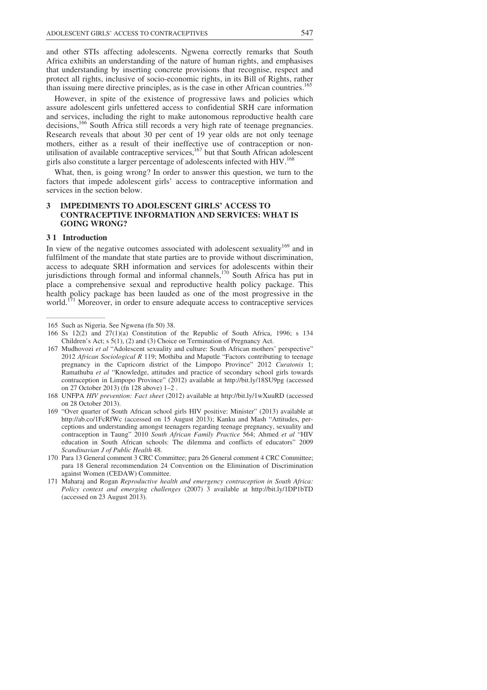and other STIs affecting adolescents. Ngwena correctly remarks that South Africa exhibits an understanding of the nature of human rights, and emphasises that understanding by inserting concrete provisions that recognise, respect and protect all rights, inclusive of socio-economic rights, in its Bill of Rights, rather than issuing mere directive principles, as is the case in other African countries.<sup>1</sup>

However, in spite of the existence of progressive laws and policies which assure adolescent girls unfettered access to confidential SRH care information and services, including the right to make autonomous reproductive health care decisions,<sup>166</sup> South Africa still records a very high rate of teenage pregnancies. Research reveals that about 30 per cent of 19 year olds are not only teenage mothers, either as a result of their ineffective use of contraception or nonutilisation of available contraceptive services,<sup>167</sup> but that South African adolescent girls also constitute a larger percentage of adolescents infected with HIV.<sup>168</sup>

What, then, is going wrong? In order to answer this question, we turn to the factors that impede adolescent girls' access to contraceptive information and services in the section below.

# **3 IMPEDIMENTS TO ADOLESCENT GIRLS' ACCESS TO CONTRACEPTIVE INFORMATION AND SERVICES: WHAT IS GOING WRONG?**

#### **3 1 Introduction**

 $\overline{\phantom{a}}$  , where  $\overline{\phantom{a}}$ 

In view of the negative outcomes associated with adolescent sexuality<sup>169</sup> and in fulfilment of the mandate that state parties are to provide without discrimination, access to adequate SRH information and services for adolescents within their jurisdictions through formal and informal channels,<sup>170</sup> South Africa has put in place a comprehensive sexual and reproductive health policy package. This health policy package has been lauded as one of the most progressive in the world.<sup>171</sup> Moreover, in order to ensure adequate access to contraceptive services

 <sup>165</sup> Such as Nigeria. See Ngwena (fn 50) 38.

<sup>166</sup> Ss  $12(2)$  and  $27(1)(a)$  Constitution of the Republic of South Africa, 1996; s 134 Children's Act; s 5(1), (2) and (3) Choice on Termination of Pregnancy Act.

 <sup>167</sup> Mudhovozi *et al* "Adolescent sexuality and culture: South African mothers' perspective" 2012 *African Sociological R* 119; Mothiba and Maputle "Factors contributing to teenage pregnancy in the Capricorn district of the Limpopo Province" 2012 *Curatonis* 1; Ramathuba *et al* "Knowledge, attitudes and practice of secondary school girls towards contraception in Limpopo Province" (2012) available at http://bit.ly/18SU9pg (accessed on 27 October 2013) (fn 128 above) 1–2 .

 <sup>168</sup> UNFPA *HIV prevention: Fact sheet* (2012) available at http://bit.ly/1wXuuRD (accessed on 28 October 2013).

 <sup>169 &</sup>quot;Over quarter of South African school girls HIV positive: Minister" (2013) available at http://ab.co/1FcRfWc (accessed on 15 August 2013); Kanku and Mash "Attitudes, perceptions and understanding amongst teenagers regarding teenage pregnancy, sexuality and contraception in Taung" 2010 *South African Family Practice* 564; Ahmed *et al* "HIV education in South African schools: The dilemma and conflicts of educators" 2009 *Scandinavian J of Public Health* 48.

 <sup>170</sup> Para 13 General comment 3 CRC Committee; para 26 General comment 4 CRC Committee; para 18 General recommendation 24 Convention on the Elimination of Discrimination against Women (CEDAW) Committee.

 <sup>171</sup> Maharaj and Rogan *Reproductive health and emergency contraception in South Africa: Policy context and emerging challenges* (2007) 3 available at http://bit.ly/1DP1bTD (accessed on 23 August 2013).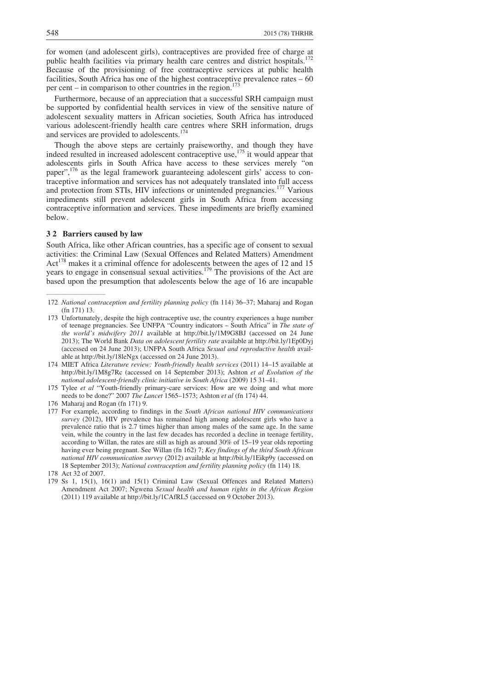for women (and adolescent girls), contraceptives are provided free of charge at public health facilities via primary health care centres and district hospitals.<sup>1</sup> Because of the provisioning of free contraceptive services at public health facilities, South Africa has one of the highest contraceptive prevalence rates – 60 per cent – in comparison to other countries in the region.<sup>1</sup>

Furthermore, because of an appreciation that a successful SRH campaign must be supported by confidential health services in view of the sensitive nature of adolescent sexuality matters in African societies, South Africa has introduced various adolescent-friendly health care centres where SRH information, drugs and services are provided to adolescents.<sup>174</sup>

Though the above steps are certainly praiseworthy, and though they have indeed resulted in increased adolescent contraceptive use,<sup>175</sup> it would appear that adolescents girls in South Africa have access to these services merely "on paper",176 as the legal framework guaranteeing adolescent girls' access to contraceptive information and services has not adequately translated into full access and protection from STIs, HIV infections or unintended pregnancies.<sup>177</sup> Various impediments still prevent adolescent girls in South Africa from accessing contraceptive information and services. These impediments are briefly examined below.

## **3 2 Barriers caused by law**

 $\overline{\phantom{a}}$  , where  $\overline{\phantom{a}}$ 

South Africa, like other African countries, has a specific age of consent to sexual activities: the Criminal Law (Sexual Offences and Related Matters) Amendment Act<sup>178</sup> makes it a criminal offence for adolescents between the ages of 12 and 15 years to engage in consensual sexual activities.<sup>179</sup> The provisions of the Act are based upon the presumption that adolescents below the age of 16 are incapable

 <sup>172</sup> *National contraception and fertility planning policy* (fn 114) 36–37; Maharaj and Rogan (fn 171) 13.

 <sup>173</sup> Unfortunately, despite the high contraceptive use, the country experiences a huge number of teenage pregnancies. See UNFPA "Country indicators – South Africa" in *The state of the world's midwifery 2011* available at http://bit.ly/1M9G8BJ (accessed on 24 June 2013); The World Bank *Data on adolescent fertility rate* available at http://bit.ly/1Ep0Dyj (accessed on 24 June 2013); UNFPA South Africa *Sexual and reproductive health* available at http://bit.ly/18leNgx (accessed on 24 June 2013).

 <sup>174</sup> MIET Africa *Literature review: Youth-friendly health services* (2011) 14–15 available at http://bit.ly/1M8g7Rc (accessed on 14 September 2013); Ashton *et al Evolution of the national adolescent-friendly clinic initiative in South Africa* (2009) 15 31–41.

 <sup>175</sup> Tylee *et al* "Youth-friendly primary-care services: How are we doing and what more needs to be done?" 2007 *The Lancet* 1565–1573; Ashton *et al* (fn 174) 44.

 <sup>176</sup> Maharaj and Rogan (fn 171) 9.

 <sup>177</sup> For example, according to findings in the *South African national HIV communications survey* (2012), HIV prevalence has remained high among adolescent girls who have a prevalence ratio that is 2.7 times higher than among males of the same age. In the same vein, while the country in the last few decades has recorded a decline in teenage fertility, according to Willan, the rates are still as high as around 30% of 15–19 year olds reporting having ever being pregnant. See Willan (fn 162) 7; *Key findings of the third South African national HIV communication survey* (2012) available at http://bit.ly/1Eikp9y (accessed on 18 September 2013); *National contraception and fertility planning policy* (fn 114) 18.

 <sup>178</sup> Act 32 of 2007.

 <sup>179</sup> Ss 1, 15(1), 16(1) and 15(1) Criminal Law (Sexual Offences and Related Matters) Amendment Act 2007; Ngwena *Sexual health and human rights in the African Region* (2011) 119 available at http://bit.ly/1CAfRL5 (accessed on 9 October 2013).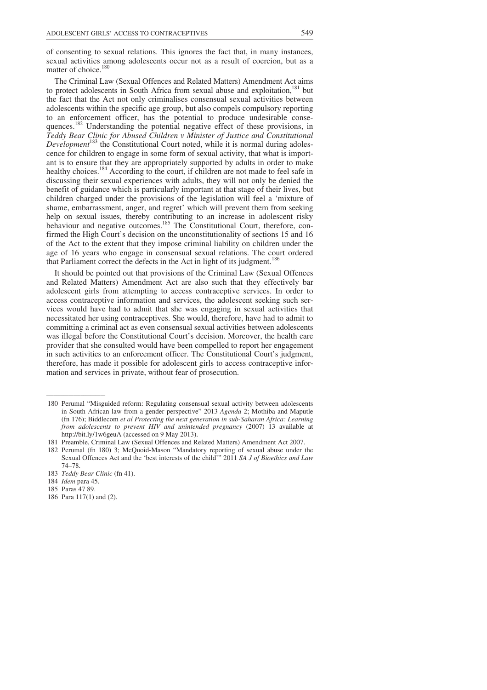of consenting to sexual relations. This ignores the fact that, in many instances, sexual activities among adolescents occur not as a result of coercion, but as a matter of choice.<sup>180</sup>

The Criminal Law (Sexual Offences and Related Matters) Amendment Act aims to protect adolescents in South Africa from sexual abuse and exploitation,<sup>181</sup> but the fact that the Act not only criminalises consensual sexual activities between adolescents within the specific age group, but also compels compulsory reporting to an enforcement officer, has the potential to produce undesirable consequences.<sup>182</sup> Understanding the potential negative effect of these provisions, in *Teddy Bear Clinic for Abused Children v Minister of Justice and Constitutional Development*<sup>183</sup> the Constitutional Court noted, while it is normal during adolescence for children to engage in some form of sexual activity, that what is important is to ensure that they are appropriately supported by adults in order to make healthy choices.<sup>184</sup> According to the court, if children are not made to feel safe in discussing their sexual experiences with adults, they will not only be denied the benefit of guidance which is particularly important at that stage of their lives, but children charged under the provisions of the legislation will feel a 'mixture of shame, embarrassment, anger, and regret' which will prevent them from seeking help on sexual issues, thereby contributing to an increase in adolescent risky behaviour and negative outcomes.<sup>185</sup> The Constitutional Court, therefore, confirmed the High Court's decision on the unconstitutionality of sections 15 and 16 of the Act to the extent that they impose criminal liability on children under the age of 16 years who engage in consensual sexual relations. The court ordered that Parliament correct the defects in the Act in light of its judgment.<sup>186</sup>

It should be pointed out that provisions of the Criminal Law (Sexual Offences and Related Matters) Amendment Act are also such that they effectively bar adolescent girls from attempting to access contraceptive services. In order to access contraceptive information and services, the adolescent seeking such services would have had to admit that she was engaging in sexual activities that necessitated her using contraceptives. She would, therefore, have had to admit to committing a criminal act as even consensual sexual activities between adolescents was illegal before the Constitutional Court's decision. Moreover, the health care provider that she consulted would have been compelled to report her engagement in such activities to an enforcement officer. The Constitutional Court's judgment, therefore, has made it possible for adolescent girls to access contraceptive information and services in private, without fear of prosecution.

\_\_\_\_\_\_\_\_\_\_\_\_\_\_\_\_\_\_\_\_\_\_\_\_

- 185 Paras 47 89.
- 186 Para 117(1) and (2).

 <sup>180</sup> Perumal "Misguided reform: Regulating consensual sexual activity between adolescents in South African law from a gender perspective" 2013 *Agenda* 2; Mothiba and Maputle (fn 176); Biddlecom *et al Protecting the next generation in sub-Saharan Africa: Learning from adolescents to prevent HIV and unintended pregnancy* (2007) 13 available at http://bit.ly/1w6geuA (accessed on 9 May 2013).

 <sup>181</sup> Preamble, Criminal Law (Sexual Offences and Related Matters) Amendment Act 2007.

 <sup>182</sup> Perumal (fn 180) 3; McQuoid-Mason "Mandatory reporting of sexual abuse under the Sexual Offences Act and the 'best interests of the child'" 2011 *SA J of Bioethics and Law*  74–78.

 <sup>183</sup> *Teddy Bear Clinic* (fn 41).

 <sup>184</sup> *Idem* para 45.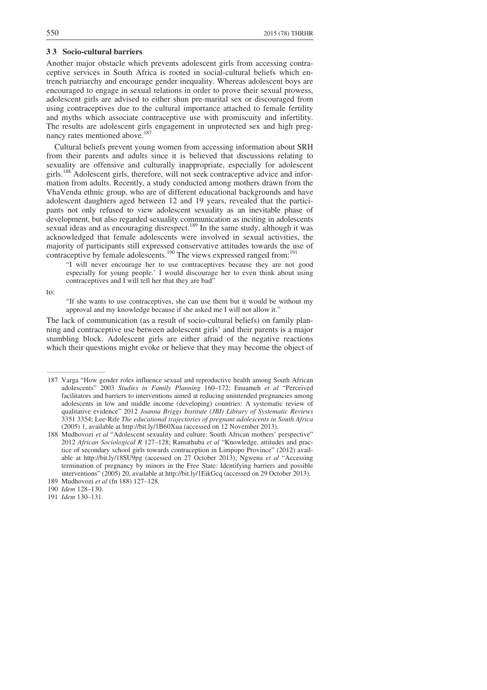## **3 3 Socio-cultural barriers**

Another major obstacle which prevents adolescent girls from accessing contraceptive services in South Africa is rooted in social-cultural beliefs which entrench patriarchy and encourage gender inequality. Whereas adolescent boys are encouraged to engage in sexual relations in order to prove their sexual prowess, adolescent girls are advised to either shun pre-marital sex or discouraged from using contraceptives due to the cultural importance attached to female fertility and myths which associate contraceptive use with promiscuity and infertility. The results are adolescent girls engagement in unprotected sex and high pregnancy rates mentioned above.<sup>187</sup>

Cultural beliefs prevent young women from accessing information about SRH from their parents and adults since it is believed that discussions relating to sexuality are offensive and culturally inappropriate, especially for adolescent girls.188 Adolescent girls, therefore, will not seek contraceptive advice and information from adults. Recently, a study conducted among mothers drawn from the VhaVenda ethnic group, who are of different educational backgrounds and have adolescent daughters aged between 12 and 19 years, revealed that the participants not only refused to view adolescent sexuality as an inevitable phase of development, but also regarded sexuality communication as inciting in adolescents sexual ideas and as encouraging disrespect.<sup>189</sup> In the same study, although it was acknowledged that female adolescents were involved in sexual activities, the majority of participants still expressed conservative attitudes towards the use of contraceptive by female adolescents.<sup>190</sup> The views expressed ranged from:<sup>191</sup>

"I will never encourage her to use contraceptives because they are not good especially for young people.' I would discourage her to even think about using contraceptives and I will tell her that they are bad"

to:

"If she wants to use contraceptives, she can use them but it would be without my approval and my knowledge because if she asked me I will not allow it."

The lack of communication (as a result of socio-cultural beliefs) on family planning and contraceptive use between adolescent girls' and their parents is a major stumbling block. Adolescent girls are either afraid of the negative reactions which their questions might evoke or believe that they may become the object of

\_\_\_\_\_\_\_\_\_\_\_\_\_\_\_\_\_\_\_\_\_\_\_\_

191 *Idem* 130–131.

 <sup>187</sup> Varga "How gender roles influence sexual and reproductive health among South African adolescents" 2003 *Studies in Family Planning* 160–172; Enuameh *et al* "Perceived facilitators and barriers to interventions aimed at reducing unintended pregnancies among adolescents in low and middle income (developing) countries: A systematic review of qualitative evidence" 2012 *Joanna Briggs Institute (JBI) Library of Systematic Reviews* 3351 3354; Lee-Rife *The educational trajectories of pregnant adolescents in South Africa*  (2005) 1, available at http://bit.ly/1B60Xua (accessed on 12 November 2013).

 <sup>188</sup> Mudhovozi *et al* "Adolescent sexuality and culture: South African mothers' perspective" 2012 *African Sociological R* 127–128; Ramathuba *et al* "Knowledge, attitudes and practice of secondary school girls towards contraception in Limpopo Province" (2012) available at http://bit.ly/18SU9pg (accessed on 27 October 2013); Ngwena *et al* "Accessing termination of pregnancy by minors in the Free State: Identifying barriers and possible interventions" (2005) 20, available at http://bit.ly/1EikGcq (accessed on 29 October 2013). 189 Mudhovozi *et al* (fn 188) 127–128.

 <sup>190</sup> *Idem* 128–130.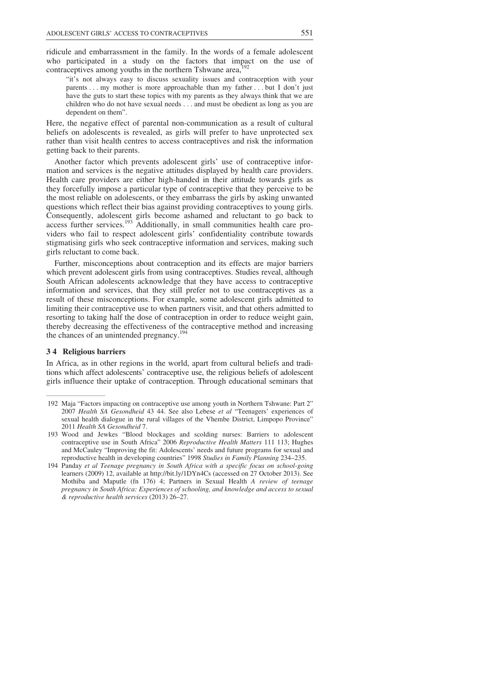ridicule and embarrassment in the family. In the words of a female adolescent who participated in a study on the factors that impact on the use of contraceptives among youths in the northern Tshwane  $area<sub>i</sub>$ <sup>1</sup>

"it's not always easy to discuss sexuality issues and contraception with your parents . . . my mother is more approachable than my father . . . but I don't just have the guts to start these topics with my parents as they always think that we are children who do not have sexual needs . . . and must be obedient as long as you are dependent on them".

Here, the negative effect of parental non-communication as a result of cultural beliefs on adolescents is revealed, as girls will prefer to have unprotected sex rather than visit health centres to access contraceptives and risk the information getting back to their parents.

Another factor which prevents adolescent girls' use of contraceptive information and services is the negative attitudes displayed by health care providers. Health care providers are either high-handed in their attitude towards girls as they forcefully impose a particular type of contraceptive that they perceive to be the most reliable on adolescents, or they embarrass the girls by asking unwanted questions which reflect their bias against providing contraceptives to young girls. Consequently, adolescent girls become ashamed and reluctant to go back to access further services.<sup>193</sup> Additionally, in small communities health care providers who fail to respect adolescent girls' confidentiality contribute towards stigmatising girls who seek contraceptive information and services, making such girls reluctant to come back.

Further, misconceptions about contraception and its effects are major barriers which prevent adolescent girls from using contraceptives. Studies reveal, although South African adolescents acknowledge that they have access to contraceptive information and services, that they still prefer not to use contraceptives as a result of these misconceptions. For example, some adolescent girls admitted to limiting their contraceptive use to when partners visit, and that others admitted to resorting to taking half the dose of contraception in order to reduce weight gain, thereby decreasing the effectiveness of the contraceptive method and increasing the chances of an unintended pregnancy.<sup>194</sup>

#### **3 4 Religious barriers**

\_\_\_\_\_\_\_\_\_\_\_\_\_\_\_\_\_\_\_\_\_\_\_\_

In Africa, as in other regions in the world, apart from cultural beliefs and traditions which affect adolescents' contraceptive use, the religious beliefs of adolescent girls influence their uptake of contraception. Through educational seminars that

 <sup>192</sup> Maja "Factors impacting on contraceptive use among youth in Northern Tshwane: Part 2" 2007 *Health SA Gesondheid* 43 44. See also Lebese *et al* "Teenagers' experiences of sexual health dialogue in the rural villages of the Vhembe District, Limpopo Province" 2011 *Health SA Gesondheid* 7.

 <sup>193</sup> Wood and Jewkes "Blood blockages and scolding nurses: Barriers to adolescent contraceptive use in South Africa" 2006 *Reproductive Health Matters* 111 113; Hughes and McCauley "Improving the fit: Adolescents' needs and future programs for sexual and reproductive health in developing countries" 1998 *Studies in Family Planning* 234–235.

 <sup>194</sup> Panday *et al Teenage pregnancy in South Africa with a specific focus on school-going*  learners (2009) 12, available at http://bit.ly/1DYn4Cs (accessed on 27 October 2013). See Mothiba and Maputle (fn 176) 4; Partners in Sexual Health *A review of teenage pregnancy in South Africa: Experiences of schooling, and knowledge and access to sexual & reproductive health services* (2013) 26–27.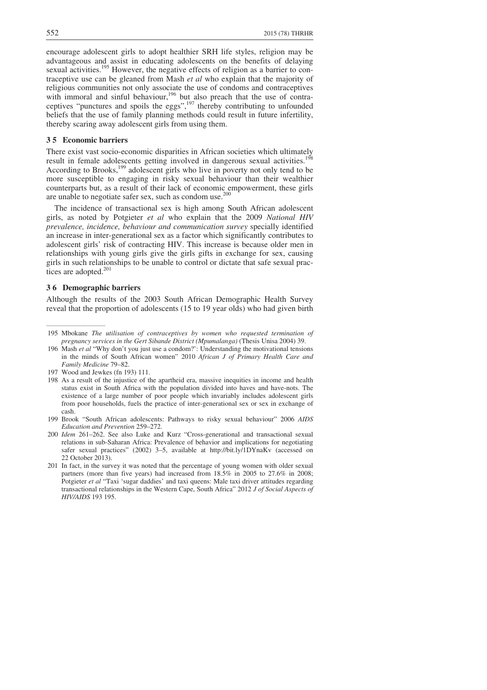encourage adolescent girls to adopt healthier SRH life styles, religion may be advantageous and assist in educating adolescents on the benefits of delaying sexual activities.<sup>195</sup> However, the negative effects of religion as a barrier to contraceptive use can be gleaned from Mash *et al* who explain that the majority of religious communities not only associate the use of condoms and contraceptives with immoral and sinful behaviour,<sup>196</sup> but also preach that the use of contraceptives "punctures and spoils the eggs", $197$  thereby contributing to unfounded beliefs that the use of family planning methods could result in future infertility, thereby scaring away adolescent girls from using them.

## **3 5 Economic barriers**

There exist vast socio-economic disparities in African societies which ultimately result in female adolescents getting involved in dangerous sexual activities.<sup>198</sup> According to Brooks,<sup>199</sup> adolescent girls who live in poverty not only tend to be more susceptible to engaging in risky sexual behaviour than their wealthier counterparts but, as a result of their lack of economic empowerment, these girls are unable to negotiate safer sex, such as condom use.<sup>200</sup>

The incidence of transactional sex is high among South African adolescent girls, as noted by Potgieter *et al* who explain that the 2009 *National HIV prevalence, incidence, behaviour and communication survey* specially identified an increase in inter-generational sex as a factor which significantly contributes to adolescent girls' risk of contracting HIV. This increase is because older men in relationships with young girls give the girls gifts in exchange for sex, causing girls in such relationships to be unable to control or dictate that safe sexual practices are adopted.<sup>201</sup>

#### **3 6 Demographic barriers**

\_\_\_\_\_\_\_\_\_\_\_\_\_\_\_\_\_\_\_\_\_\_\_\_

Although the results of the 2003 South African Demographic Health Survey reveal that the proportion of adolescents (15 to 19 year olds) who had given birth

 <sup>195</sup> Mbokane *The utilisation of contraceptives by women who requested termination of pregnancy services in the Gert Sibande District (Mpumalanga)* (Thesis Unisa 2004) 39.

 <sup>196</sup> Mash *et al* "Why don't you just use a condom?': Understanding the motivational tensions in the minds of South African women" 2010 *African J of Primary Health Care and Family Medicine* 79–82.

 <sup>197</sup> Wood and Jewkes (fn 193) 111.

 <sup>198</sup> As a result of the injustice of the apartheid era, massive inequities in income and health status exist in South Africa with the population divided into haves and have-nots. The existence of a large number of poor people which invariably includes adolescent girls from poor households, fuels the practice of inter-generational sex or sex in exchange of cash.

 <sup>199</sup> Brook "South African adolescents: Pathways to risky sexual behaviour" 2006 *AIDS Education and Prevention* 259–272.

 <sup>200</sup> *Idem* 261–262. See also Luke and Kurz "Cross-generational and transactional sexual relations in sub-Saharan Africa: Prevalence of behavior and implications for negotiating safer sexual practices" (2002) 3-5, available at http://bit.ly/1DYnaKv (accessed on 22 October 2013).

 <sup>201</sup> In fact, in the survey it was noted that the percentage of young women with older sexual partners (more than five years) had increased from 18.5% in 2005 to 27.6% in 2008; Potgieter *et al* "Taxi 'sugar daddies' and taxi queens: Male taxi driver attitudes regarding transactional relationships in the Western Cape, South Africa" 2012 *J of Social Aspects of HIV/AIDS* 193 195.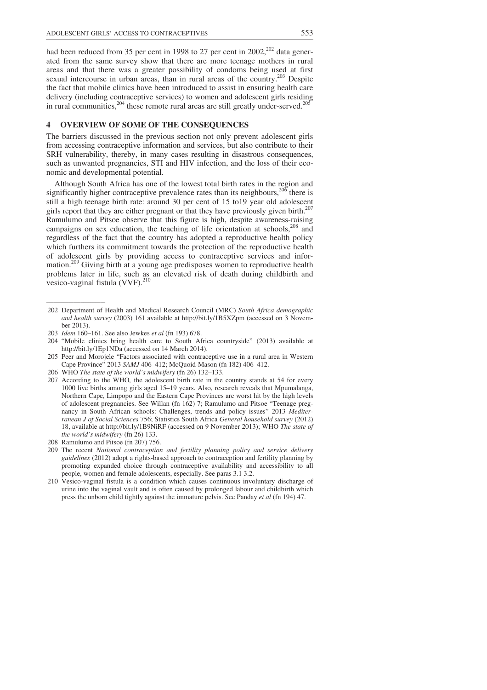had been reduced from 35 per cent in 1998 to 27 per cent in 2002, $^{202}$  data generated from the same survey show that there are more teenage mothers in rural areas and that there was a greater possibility of condoms being used at first sexual intercourse in urban areas, than in rural areas of the country.<sup>203</sup> Despite the fact that mobile clinics have been introduced to assist in ensuring health care delivery (including contraceptive services) to women and adolescent girls residing in rural communities,  $204$  these remote rural areas are still greatly under-served.<sup>205</sup>

# **4 OVERVIEW OF SOME OF THE CONSEQUENCES**

The barriers discussed in the previous section not only prevent adolescent girls from accessing contraceptive information and services, but also contribute to their SRH vulnerability, thereby, in many cases resulting in disastrous consequences, such as unwanted pregnancies, STI and HIV infection, and the loss of their economic and developmental potential.

Although South Africa has one of the lowest total birth rates in the region and significantly higher contraceptive prevalence rates than its neighbours,  $206$  there is still a high teenage birth rate: around 30 per cent of 15 to19 year old adolescent girls report that they are either pregnant or that they have previously given birth.<sup>207</sup> Ramulumo and Pitsoe observe that this figure is high, despite awareness-raising campaigns on sex education, the teaching of life orientation at schools,<sup>208</sup> and regardless of the fact that the country has adopted a reproductive health policy which furthers its commitment towards the protection of the reproductive health of adolescent girls by providing access to contraceptive services and information.<sup>209</sup> Giving birth at a young age predisposes women to reproductive health problems later in life, such as an elevated risk of death during childbirth and vesico-vaginal fistula (VVF).<sup>210</sup>

\_\_\_\_\_\_\_\_\_\_\_\_\_\_\_\_\_\_\_\_\_\_\_\_

 207 According to the WHO*,* the adolescent birth rate in the country stands at 54 for every 1000 live births among girls aged 15–19 years. Also, research reveals that Mpumalanga, Northern Cape, Limpopo and the Eastern Cape Provinces are worst hit by the high levels of adolescent pregnancies. See Willan (fn 162) 7; Ramulumo and Pitsoe "Teenage pregnancy in South African schools: Challenges, trends and policy issues" 2013 *Mediterranean J of Social Sciences* 756; Statistics South Africa *General household survey* (2012) 18, available at http://bit.ly/1B9NiRF (accessed on 9 November 2013); WHO *The state of the world's midwifery* (fn 26) 133.

- 209 The recent *National contraception and fertility planning policy and service delivery guidelines* (2012) adopt a rights-based approach to contraception and fertility planning by promoting expanded choice through contraceptive availability and accessibility to all people, women and female adolescents, especially. See paras 3.1 3.2.
- 210 Vesico-vaginal fistula is a condition which causes continuous involuntary discharge of urine into the vaginal vault and is often caused by prolonged labour and childbirth which press the unborn child tightly against the immature pelvis. See Panday *et al* (fn 194) 47.

 <sup>202</sup> Department of Health and Medical Research Council (MRC) *South Africa demographic and health survey* (2003) 161 available at http://bit.ly/1B5XZpm (accessed on 3 November 2013).

 <sup>203</sup> *Idem* 160–161. See also Jewkes *et al* (fn 193) 678.

 <sup>204 &</sup>quot;Mobile clinics bring health care to South Africa countryside" (2013) available at http://bit.ly/1Ep1NDa (accessed on 14 March 2014).

 <sup>205</sup> Peer and Morojele "Factors associated with contraceptive use in a rural area in Western Cape Province" 2013 *SAMJ* 406–412; McQuoid-Mason (fn 182) 406–412.

 <sup>206</sup> WHO *The state of the world's midwifery* (fn 26) 132–133.

 <sup>208</sup> Ramulumo and Pitsoe (fn 207) 756.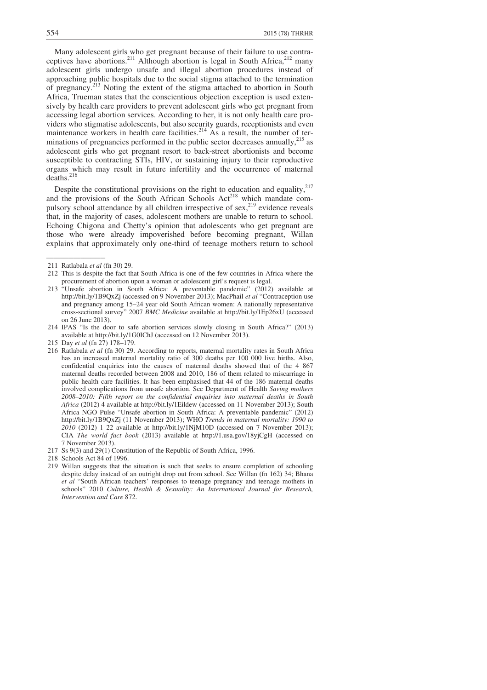Many adolescent girls who get pregnant because of their failure to use contraceptives have abortions.<sup>211</sup> Although abortion is legal in South Africa,<sup>212</sup> many adolescent girls undergo unsafe and illegal abortion procedures instead of approaching public hospitals due to the social stigma attached to the termination approaching public hospitals due to the social stigma attached to the termination<br>of pregnancy.<sup>213</sup> Noting the extent of the stigma attached to abortion in South Africa, Trueman states that the conscientious objection exception is used extensively by health care providers to prevent adolescent girls who get pregnant from accessing legal abortion services. According to her, it is not only health care providers who stigmatise adolescents, but also security guards, receptionists and even maintenance workers in health care facilities.<sup>214</sup> As a result, the number of terminations of pregnancies performed in the public sector decreases annually,<sup>215</sup> as adolescent girls who get pregnant resort to back-street abortionists and become susceptible to contracting STIs, HIV, or sustaining injury to their reproductive organs which may result in future infertility and the occurrence of maternal deaths.<sup>216</sup>

Despite the constitutional provisions on the right to education and equality, $217$ and the provisions of the South African Schools Act<sup>218</sup> which mandate compulsory school attendance by all children irrespective of sex,<sup>219</sup> evidence reveals that, in the majority of cases, adolescent mothers are unable to return to school. Echoing Chigona and Chetty's opinion that adolescents who get pregnant are those who were already impoverished before becoming pregnant, Willan explains that approximately only one-third of teenage mothers return to school

\_\_\_\_\_\_\_\_\_\_\_\_\_\_\_\_\_\_\_\_\_\_\_\_

- 212 This is despite the fact that South Africa is one of the few countries in Africa where the procurement of abortion upon a woman or adolescent girl's request is legal.
- 213 "Unsafe abortion in South Africa: A preventable pandemic" (2012) available at http://bit.ly/1B9QxZj (accessed on 9 November 2013); MacPhail *et al* "Contraception use and pregnancy among 15–24 year old South African women: A nationally representative cross-sectional survey" 2007 *BMC Medicine* available at http://bit.ly/1Ep26xU (accessed on 26 June 2013).
- 214 IPAS "Is the door to safe abortion services slowly closing in South Africa?" (2013) available at http://bit.ly/1G0IChJ (accessed on 12 November 2013).
- 215 Day *et al* (fn 27) 178–179.
- 216 Ratlabala *et al* (fn 30) 29. According to reports, maternal mortality rates in South Africa has an increased maternal mortality ratio of 300 deaths per 100 000 live births. Also, confidential enquiries into the causes of maternal deaths showed that of the 4 867 maternal deaths recorded between 2008 and 2010, 186 of them related to miscarriage in public health care facilities. It has been emphasised that 44 of the 186 maternal deaths involved complications from unsafe abortion. See Department of Health *Saving mothers 2008–2010: Fifth report on the confidential enquiries into maternal deaths in South Africa* (2012) 4 available at http://bit.ly/1Eildew (accessed on 11 November 2013); South Africa NGO Pulse "Unsafe abortion in South Africa: A preventable pandemic" (2012) http://bit.ly/1B9QxZj (11 November 2013); WHO *Trends in maternal mortality: 1990 to 2010* (2012) 1 22 available at http://bit.ly/1NjM10D (accessed on 7 November 2013); CIA *The world fact book* (2013) available at http://1.usa.gov/18yjCgH (accessed on 7 November 2013).
- 217 Ss 9(3) and 29(1) Constitution of the Republic of South Africa, 1996.
- 218 Schools Act 84 of 1996.
- 219 Willan suggests that the situation is such that seeks to ensure completion of schooling despite delay instead of an outright drop out from school. See Willan (fn 162) 34; Bhana *et al* "South African teachers' responses to teenage pregnancy and teenage mothers in schools" 2010 *Culture, Health & Sexuality: An International Journal for Research, Intervention and Care* 872.

 <sup>211</sup> Ratlabala *et al* (fn 30) 29.